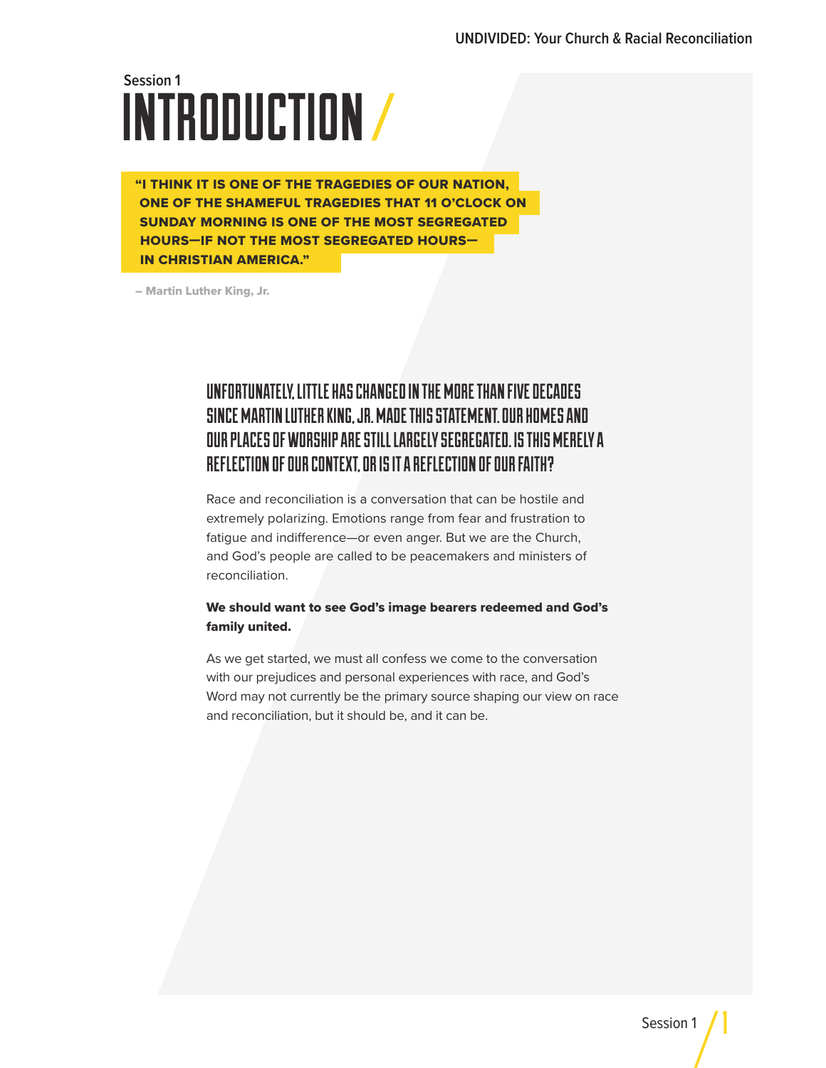# INTRODUCTION **Session 1**

"I THINK IT IS ONE OF THE TRAGEDIES OF OUR NATION, ONE OF THE SHAMEFUL TRAGEDIES THAT 11 O'CLOCK ON SUNDAY MORNING IS ONE OF THE MOST SEGREGATED HOURS—IF NOT THE MOST SEGREGATED HOURS— IN CHRISTIAN AMERICA."

– Martin Luther King, Jr.

### UNFORTUNATELY, LITTLE HAS CHANGED IN THE MORE THAN FIVE DECADES SINCE MARTIN LUTHER KING, JR. MADE THIS STATEMENT. OUR HOMES AND OUR PLACES OF WORSHIP ARE STILL LARGELY SEGREGATED. IS THIS MERELY A REFLECTION OF OUR CONTEXT, OR IS IT A REFLECTION OF OUR FAITH?

Race and reconciliation is a conversation that can be hostile and extremely polarizing. Emotions range from fear and frustration to fatigue and indifference—or even anger. But we are the Church, and God's people are called to be peacemakers and ministers of reconciliation.

#### We should want to see God's image bearers redeemed and God's family united.

As we get started, we must all confess we come to the conversation with our prejudices and personal experiences with race, and God's Word may not currently be the primary source shaping our view on race and reconciliation, but it should be, and it can be.

1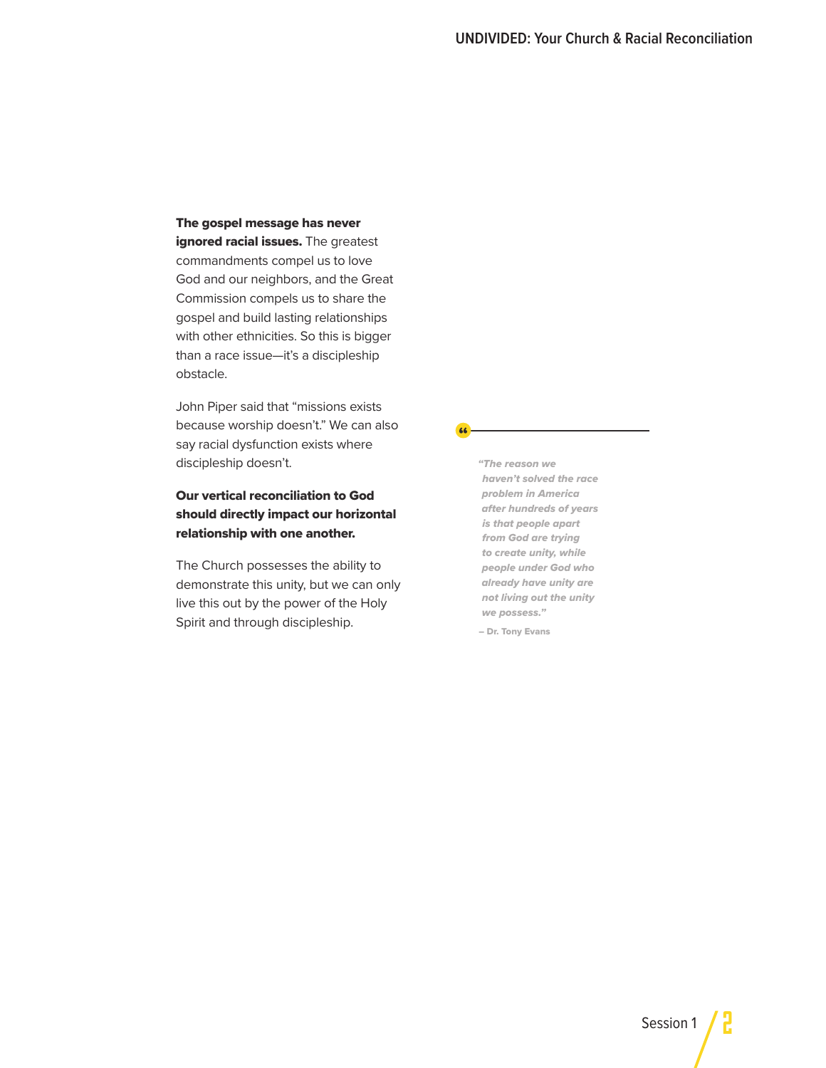#### The gospel message has never

ignored racial issues. The greatest commandments compel us to love God and our neighbors, and the Great Commission compels us to share the gospel and build lasting relationships with other ethnicities. So this is bigger than a race issue—it's a discipleship obstacle.

John Piper said that "missions exists because worship doesn't." We can also say racial dysfunction exists where discipleship doesn't.

#### Our vertical reconciliation to God should directly impact our horizontal relationship with one another.

The Church possesses the ability to demonstrate this unity, but we can only live this out by the power of the Holy Spirit and through discipleship.

*"The reason we haven't solved the race problem in America after hundreds of years is that people apart from God are trying to create unity, while people under God who already have unity are not living out the unity we possess."* 

– Dr. Tony Evans

66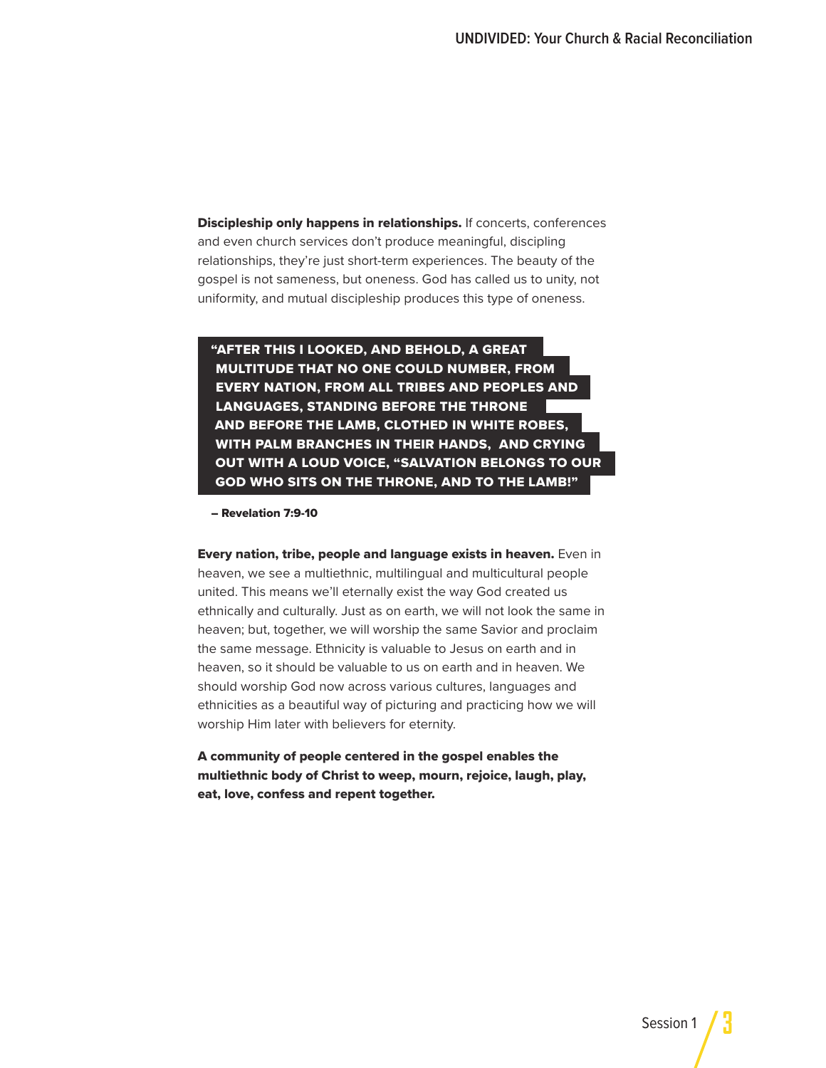Discipleship only happens in relationships. If concerts, conferences and even church services don't produce meaningful, discipling relationships, they're just short-term experiences. The beauty of the gospel is not sameness, but oneness. God has called us to unity, not uniformity, and mutual discipleship produces this type of oneness.

"AFTER THIS I LOOKED, AND BEHOLD, A GREAT MULTITUDE THAT NO ONE COULD NUMBER, FROM EVERY NATION, FROM ALL TRIBES AND PEOPLES AND LANGUAGES, STANDING BEFORE THE THRONE AND BEFORE THE LAMB, CLOTHED IN WHITE ROBES, WITH PALM BRANCHES IN THEIR HANDS, AND CRYING OUT WITH A LOUD VOICE, "SALVATION BELONGS TO OUR GOD WHO SITS ON THE THRONE, AND TO THE LAMB!"

– Revelation 7:9-10

**Every nation, tribe, people and language exists in heaven.** Even in heaven, we see a multiethnic, multilingual and multicultural people united. This means we'll eternally exist the way God created us ethnically and culturally. Just as on earth, we will not look the same in heaven; but, together, we will worship the same Savior and proclaim the same message. Ethnicity is valuable to Jesus on earth and in heaven, so it should be valuable to us on earth and in heaven. We should worship God now across various cultures, languages and ethnicities as a beautiful way of picturing and practicing how we will worship Him later with believers for eternity.

A community of people centered in the gospel enables the multiethnic body of Christ to weep, mourn, rejoice, laugh, play, eat, love, confess and repent together.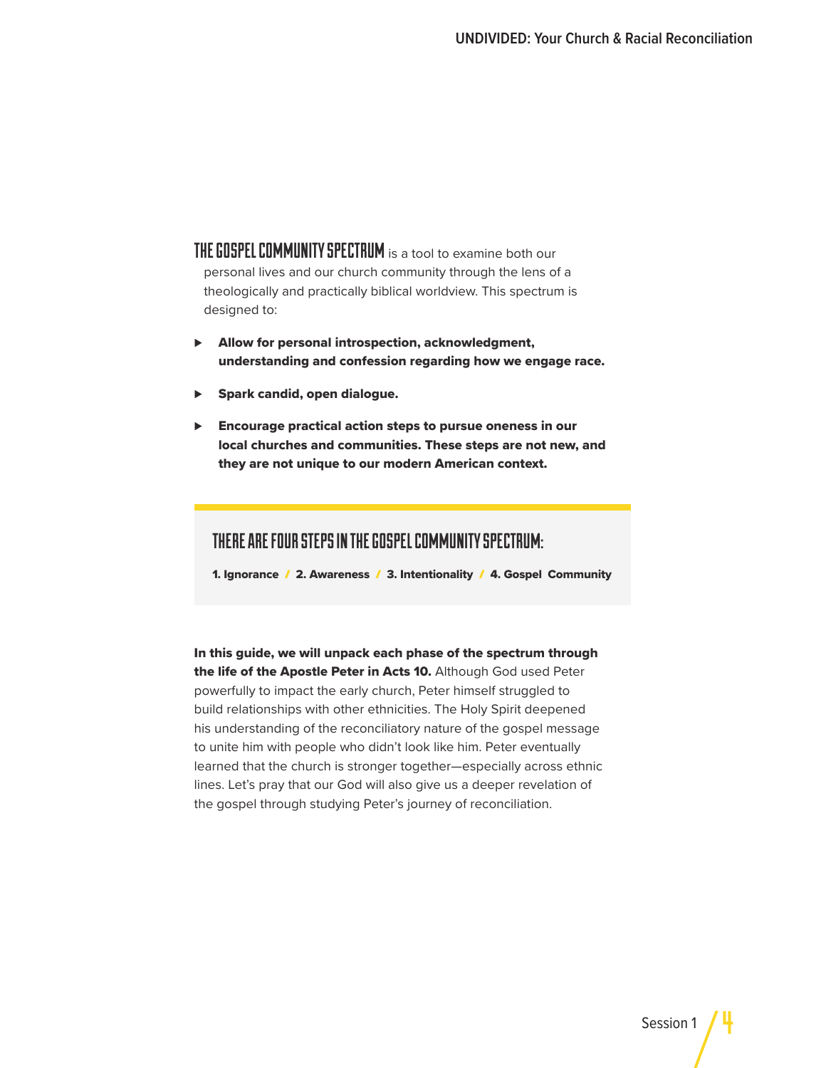THE GOSPEL COMMUNITY SPECTRUM is a tool to examine both our personal lives and our church community through the lens of a theologically and practically biblical worldview. This spectrum is designed to:

- ▶ Allow for personal introspection, acknowledgment, understanding and confession regarding how we engage race.
- Spark candid, open dialogue.
- ⊲ Encourage practical action steps to pursue oneness in our local churches and communities. These steps are not new, and they are not unique to our modern American context.

#### THERE ARE FOUR STEPS IN THE GOSPEL COMMUNITY SPECTRUM:

1. Ignorance  $/$  2. Awareness  $/$  3. Intentionality  $/$  4. Gospel Community

In this guide, we will unpack each phase of the spectrum through the life of the Apostle Peter in Acts 10. Although God used Peter powerfully to impact the early church, Peter himself struggled to build relationships with other ethnicities. The Holy Spirit deepened his understanding of the reconciliatory nature of the gospel message to unite him with people who didn't look like him. Peter eventually learned that the church is stronger together—especially across ethnic lines. Let's pray that our God will also give us a deeper revelation of the gospel through studying Peter's journey of reconciliation.